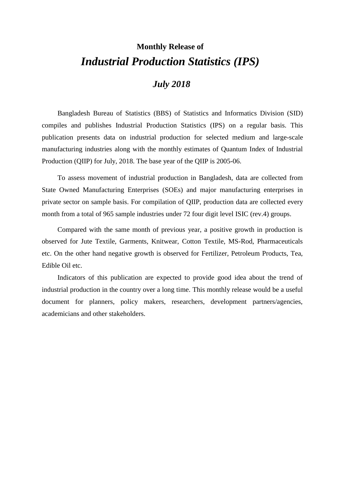# **Monthly Release of** *Industrial Production Statistics (IPS)*

### *July 2018*

Bangladesh Bureau of Statistics (BBS) of Statistics and Informatics Division (SID) compiles and publishes Industrial Production Statistics (IPS) on a regular basis. This publication presents data on industrial production for selected medium and large-scale manufacturing industries along with the monthly estimates of Quantum Index of Industrial Production (QIIP) for July, 2018. The base year of the QIIP is 2005-06.

To assess movement of industrial production in Bangladesh, data are collected from State Owned Manufacturing Enterprises (SOEs) and major manufacturing enterprises in private sector on sample basis. For compilation of QIIP, production data are collected every month from a total of 965 sample industries under 72 four digit level ISIC (rev.4) groups.

Compared with the same month of previous year, a positive growth in production is observed for Jute Textile, Garments, Knitwear, Cotton Textile, MS-Rod, Pharmaceuticals etc. On the other hand negative growth is observed for Fertilizer, Petroleum Products, Tea, Edible Oil etc.

Indicators of this publication are expected to provide good idea about the trend of industrial production in the country over a long time. This monthly release would be a useful document for planners, policy makers, researchers, development partners/agencies, academicians and other stakeholders.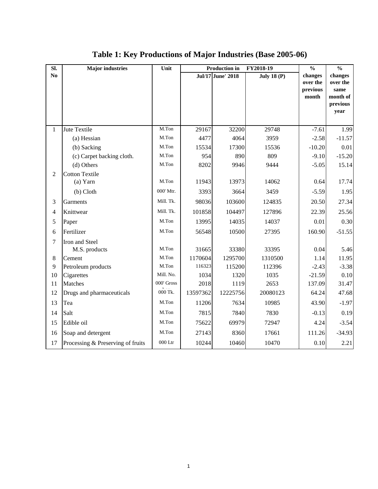| SI.            | <b>Major</b> industries           | Unit       | $\frac{0}{0}$ | $\frac{0}{0}$     |                    |                                          |                                                             |
|----------------|-----------------------------------|------------|---------------|-------------------|--------------------|------------------------------------------|-------------------------------------------------------------|
| N <sub>0</sub> |                                   |            |               | Jul/17 June' 2018 | <b>July 18 (P)</b> | changes<br>over the<br>previous<br>month | changes<br>over the<br>same<br>month of<br>previous<br>year |
| 1              | Jute Textile                      | M.Ton      | 29167         | 32200             | 29748              | $-7.61$                                  | 1.99                                                        |
|                | (a) Hessian                       | M.Ton      | 4477          | 4064              | 3959               | $-2.58$                                  | $-11.57$                                                    |
|                | (b) Sacking                       | M.Ton      | 15534         | 17300             | 15536              | $-10.20$                                 | 0.01                                                        |
|                | (c) Carpet backing cloth.         | M.Ton      | 954           | 890               | 809                | $-9.10$                                  | $-15.20$                                                    |
|                | (d) Others                        | M.Ton      | 8202          | 9946              | 9444               | $-5.05$                                  | 15.14                                                       |
| $\overline{2}$ | <b>Cotton Textile</b>             |            |               |                   |                    |                                          |                                                             |
|                | $(a)$ Yarn                        | M.Ton      | 11943         | 13973             | 14062              | 0.64                                     | 17.74                                                       |
|                | $(b)$ Cloth                       | 000' Mtr.  | 3393          | 3664              | 3459               | $-5.59$                                  | 1.95                                                        |
| 3              | Garments                          | Mill. Tk.  | 98036         | 103600            | 124835             | 20.50                                    | 27.34                                                       |
| $\overline{4}$ | Knittwear                         | Mill. Tk.  | 101858        | 104497            | 127896             | 22.39                                    | 25.56                                                       |
| 5              | Paper                             | M.Ton      | 13995         | 14035             | 14037              | 0.01                                     | 0.30                                                        |
| 6              | Fertilizer                        | M.Ton      | 56548         | 10500             | 27395              | 160.90                                   | $-51.55$                                                    |
| $\overline{7}$ | Iron and Steel                    |            |               |                   |                    |                                          |                                                             |
|                | M.S. products                     | M.Ton      | 31665         | 33380             | 33395              | 0.04                                     | 5.46                                                        |
| $\,8\,$        | Cement                            | M.Ton      | 1170604       | 1295700           | 1310500            | 1.14                                     | 11.95                                                       |
| 9              | Petroleum products                | M.Ton      | 116323        | 115200            | 112396             | $-2.43$                                  | $-3.38$                                                     |
| 10             | Cigarettes                        | Mill. No.  | 1034          | 1320              | 1035               | $-21.59$                                 | 0.10                                                        |
| 11             | Matches                           | 000' Gross | 2018          | 1119              | 2653               | 137.09                                   | 31.47                                                       |
| 12             | Drugs and pharmaceuticals         | 000 Tk.    | 13597362      | 12225756          | 20080123           | 64.24                                    | 47.68                                                       |
| 13             | Tea                               | M.Ton      | 11206         | 7634              | 10985              | 43.90                                    | $-1.97$                                                     |
| 14             | Salt                              | M.Ton      | 7815          | 7840              | 7830               | $-0.13$                                  | 0.19                                                        |
| 15             | Edible oil                        | M.Ton      | 75622         | 69979             | 72947              | 4.24                                     | $-3.54$                                                     |
| 16             | Soap and detergent                | M.Ton      | 27143         | 8360              | 17661              | 111.26                                   | $-34.93$                                                    |
| 17             | Processing & Preserving of fruits | $000$ Ltr  | 10244         | 10460             | 10470              | 0.10                                     | 2.21                                                        |

## **Table 1: Key Productions of Major Industries (Base 2005-06)**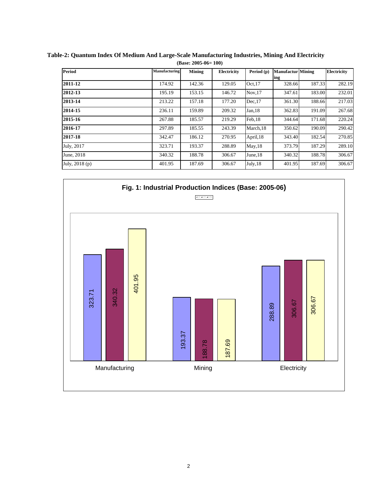| <b>Period</b>  | Manufacturing | Mining | Electricity | Period (p) | <b>Manufactur</b> Mining |        | <b>Electricity</b> |
|----------------|---------------|--------|-------------|------------|--------------------------|--------|--------------------|
|                |               |        |             |            | ing                      |        |                    |
| 2011-12        | 174.92        | 142.36 | 129.05      | Oct.17     | 328.66                   | 187.33 | 282.19             |
| 2012-13        | 195.19        | 153.15 | 146.72      | Nov.17     | 347.61                   | 183.00 | 232.01             |
| 2013-14        | 213.22        | 157.18 | 177.20      | Dec.17     | 361.30                   | 188.66 | 217.03             |
| 2014-15        | 236.11        | 159.89 | 209.32      | Jan.18     | 362.83                   | 191.09 | 267.68             |
| 2015-16        | 267.88        | 185.57 | 219.29      | Feb.18     | 344.64                   | 171.68 | 220.24             |
| 2016-17        | 297.89        | 185.55 | 243.39      | March, 18  | 350.62                   | 190.09 | 290.42             |
| 2017-18        | 342.47        | 186.12 | 270.95      | April, 18  | 343.40                   | 182.54 | 270.85             |
| July, 2017     | 323.71        | 193.37 | 288.89      | May, 18    | 373.79                   | 187.29 | 289.10             |
| June, 2018     | 340.32        | 188.78 | 306.67      | June, 18   | 340.32                   | 188.78 | 306.67             |
| July, 2018 (p) | 401.95        | 187.69 | 306.67      | July, 18   | 401.95                   | 187.69 | 306.67             |

**Table-2: Quantum Index Of Medium And Large-Scale Manufacturing Industries, Mining And Electricity (Base: 2005-06= 100)**

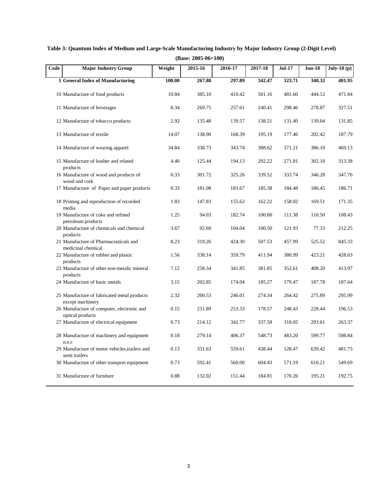| Code | <b>Major Industry Group</b>                                     | Weight | $2015 - 16$ | 2016-17 | 2017-18 | <b>Jul-17</b> | <b>Jun-18</b> | July-18 $(p)$ |
|------|-----------------------------------------------------------------|--------|-------------|---------|---------|---------------|---------------|---------------|
|      | 1 General Index of Manufacturing                                | 100.00 | 267.88      | 297.89  | 342.47  | 323.71        | 340.32        | 401.95        |
|      | 10 Manufacture of food products                                 | 10.84  | 385.10      | 410.42  | 501.16  | 481.60        | 444.12        | 471.84        |
|      | 11 Manufacture of beverages                                     | 0.34   | 269.75      | 257.61  | 240.41  | 298.46        | 278.87        | 327.51        |
|      | 12 Manufacture of tobacco products                              | 2.92   | 135.48      | 139.57  | 138.51  | 131.40        | 139.04        | 131.85        |
|      | 13 Manufacture of textile                                       | 14.07  | 138.90      | 168.39  | 195.19  | 177.46        | 202.42        | 187.79        |
|      | 14 Manufacture of wearing apparel                               | 34.84  | 338.73      | 343.74  | 388.62  | 371.21        | 386.10        | 469.13        |
|      | 15 Manufacture of leather and related<br>products               | 4.40   | 125.44      | 194.13  | 292.22  | 271.81        | 302.10        | 313.38        |
|      | 16 Manufacture of wood and products of<br>wood and cork         | 0.33   | 301.72      | 325.26  | 339.52  | 333.74        | 346.28        | 347.76        |
|      | 17 Manufacture of Paper and paper products                      | 0.33   | 181.08      | 183.67  | 185.38  | 184.48        | 186.45        | 186.71        |
|      | 18 Printing and reproduction of recorded<br>media               | 1.83   | 147.83      | 155.62  | 162.22  | 158.02        | 169.51        | 171.35        |
|      | 19 Manufacture of coke and refined<br>petroleum products        | 1.25   | 94.03       | 182.74  | 100.80  | 111.38        | 110.50        | 108.43        |
|      | 20 Manufacture of chemicals and chemical<br>products            | 3.67   | 92.60       | 104.04  | 100.50  | 121.93        | 77.33         | 212.25        |
|      | 21 Manufacture of Pharmaceuticals and<br>medicinal chemical     | 8.23   | 319.26      | 424.30  | 507.53  | 457.99        | 525.52        | 845.33        |
|      | 22 Manufacture of rubber and plastic<br>products                | 1.56   | 338.14      | 359.79  | 411.94  | 380.99        | 423.21        | 428.63        |
|      | 23 Manufacture of other non-metalic mineral<br>products         | 7.12   | 258.34      | 341.85  | 381.85  | 352.61        | 408.20        | 413.97        |
|      | 24 Manufacture of basic metals                                  | 3.15   | 202.85      | 174.04  | 185.27  | 179.47        | 187.78        | 187.64        |
|      | 25 Manufacture of fabricated metal products<br>except machinery | 2.32   | 200.53      | 246.01  | 274.34  | 264.42        | 275.89        | 295.99        |
|      | 26 Manufacture of computer, electronic and<br>optical products  | 0.15   | 231.89      | 253.33  | 178.57  | 248.43        | 228.44        | 196.53        |
|      | 27 Manufacture of electrical equipment                          | 0.73   | 214.12      | 342.77  | 337.58  | 318.05        | 293.61        | 263.37        |
|      | 28 Manufacture of machinery and equipment<br>n.e.c              | 0.18   | 279.14      | 406.37  | 548.73  | 483.20        | 599.77        | 598.84        |
|      | 29 Manufacture of motor vehicles, trailers and<br>semi trailers | 0.13   | 331.63      | 559.61  | 438.44  | 128.47        | 639.42        | 481.75        |
|      | 30 Manufacture of other transport equipment                     | 0.73   | 592.41      | 560.00  | 604.43  | 571.19        | 610.21        | 549.69        |
|      | 31 Manufacture of furniture                                     | 0.88   | 132.02      | 151.44  | 184.81  | 170.26        | 195.21        | 192.75        |

**Table 3: Quantum Index of Medium and Large-Scale Manufacturing Industry by Major Industry Group (2-Digit Level) (Base: 2005-06=100)**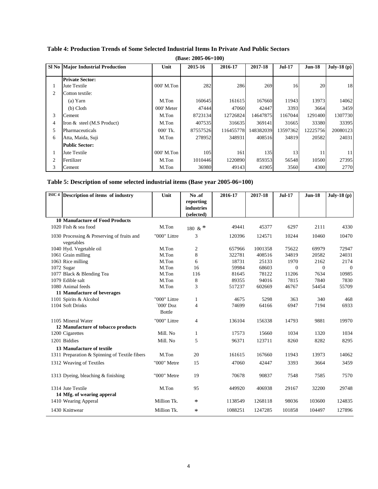| $(Base: 2005-06=100)$ |                                          |              |          |           |           |               |          |               |
|-----------------------|------------------------------------------|--------------|----------|-----------|-----------|---------------|----------|---------------|
|                       | <b>SI No Major Industrial Production</b> | Unit         | 2015-16  | 2016-17   | 2017-18   | <b>Jul-17</b> | $Jun-18$ | July-18 $(p)$ |
|                       | <b>Private Sector:</b>                   |              |          |           |           |               |          |               |
| 1                     | Jute Textile                             | 000' M.Ton   | 282      | 286       | 269       | 16            | 20       | 18            |
| 2                     | Cotton textile:                          |              |          |           |           |               |          |               |
|                       | $(a)$ Yarn                               | M.Ton        | 160645   | 161615    | 167660    | 11943         | 13973    | 14062         |
|                       | $(b)$ Cloth                              | 000' Meter   | 47444    | 47060     | 42447     | 3393          | 3664     | 3459          |
| 3                     | Cement                                   | M.Ton        | 8723134  | 12726824  | 14647875  | 1167044       | 1291400  | 1307730       |
| 4                     | Iron & steel (M.S Product)               | M.Ton        | 407535   | 316635    | 369141    | 31665         | 33380    | 33395         |
| 5                     | Pharmaceuticals                          | 000' Tk.     | 87557526 | 116455778 | 148382039 | 13597362      | 12225756 | 20080123      |
| 6                     | Atta, Maida, Suji                        | M.Ton        | 278952   | 348931    | 408516    | 34819         | 20582    | 24031         |
|                       | <b>Public Sector:</b>                    |              |          |           |           |               |          |               |
|                       | Jute Textile                             | $000'$ M.Ton | 105      | 161       | 135       | 13            | 11       | 11            |
| 2                     | Fertilizer                               | M.Ton        | 1010446  | 1220890   | 859353    | 56548         | 10500    | 27395         |
| 3                     | Cement                                   | M.Ton        | 36980    | 49143     | 41905     | 3560          | 4300     | 2770          |

### **Table 4: Production Trends of Some Selected Industrial Items In Private And Public Sectors**

### **Table 5: Description of some selected industrial items (Base year 2005-06=100)**

| ISIC <sub>4</sub> | Description of items of industry              | Unit                         | No.of      | 2016-17 | 2017-18 | $Jul-17$ | <b>Jun-18</b> | July-18 (p)    |
|-------------------|-----------------------------------------------|------------------------------|------------|---------|---------|----------|---------------|----------------|
|                   |                                               |                              | reporting  |         |         |          |               |                |
|                   |                                               |                              | industries |         |         |          |               |                |
|                   | <b>10 Manufacture of Food Products</b>        |                              | (selected) |         |         |          |               |                |
|                   | 1020 Fish & sea food                          | M.Ton                        |            | 49441   | 45377   | 6297     | 2111          | 4330           |
|                   |                                               |                              | 180 & *    |         |         |          |               |                |
|                   | 1030 Processing & Preserving of fruits and    | "000" Littre                 | 3          | 120396  | 124571  | 10244    | 10460         | 10470          |
|                   | vegetables                                    |                              |            |         |         |          |               |                |
|                   | 1040 Hyd. Vegetable oil                       | M.Ton                        | 2          | 657966  | 1001358 | 75622    | 69979         | 72947          |
|                   | 1061 Grain milling                            | M.Ton                        | 8          | 322781  | 408516  | 34819    | 20582         | 24031          |
|                   | 1063 Rice milling                             | M.Ton                        | 6          | 18731   | 25133   | 1970     | 2162          | 2174           |
|                   | 1072 Sugar                                    | M.Ton                        | 16         | 59984   | 68603   | $\Omega$ | $\Omega$      | $\overline{0}$ |
|                   | 1077 Black & Blending Tea                     | M.Ton                        | 116        | 81645   | 78122   | 11206    | 7634          | 10985          |
|                   | 1079 Edible salt                              | M.Ton                        | 8          | 89355   | 94016   | 7815     | 7840          | 7830           |
|                   | 1080 Animal feeds                             | M.Ton                        | 3          | 517237  | 602669  | 46767    | 54454         | 55709          |
|                   | 11 Manufacture of beverages                   |                              |            |         |         |          |               |                |
|                   | 1101 Spirits & Alcohol                        | "000" Littre                 | 1          | 4675    | 5298    | 363      | 340           | 468            |
|                   | 1104 Soft Drinks                              | $000'$ Doz<br><b>B</b> ottle | 4          | 74699   | 64166   | 6947     | 7194          | 6933           |
|                   | 1105 Mineral Water                            | "000" Littre                 | 4          | 136104  | 156338  | 14793    | 9881          | 19970          |
|                   | 12 Manufacture of tobacco products            |                              |            |         |         |          |               |                |
|                   | 1200 Cigarettes                               | Mill. No                     | 1          | 17573   | 15660   | 1034     | 1320          | 1034           |
|                   | 1201 Biddies                                  | Mill. No                     | 5          | 96371   | 123711  | 8260     | 8282          | 8295           |
|                   | 13 Manufacture of textile                     |                              |            |         |         |          |               |                |
|                   | 1311 Preparation & Spinning of Textile fibers | M.Ton                        | 20         | 161615  | 167660  | 11943    | 13973         | 14062          |
|                   | 1312 Weaving of Textiles                      | "000" Metre                  | 15         | 47060   | 42447   | 3393     | 3664          | 3459           |
|                   |                                               |                              |            |         |         |          |               |                |
|                   | 1313 Dyeing, bleaching & finishing            | "000" Metre                  | 19         | 70678   | 90837   | 7548     | 7585          | 7570           |
|                   | 1314 Jute Textile                             | M.Ton                        | 95         | 449920  | 406938  | 29167    | 32200         | 29748          |
|                   | 14 Mfg. of wearing apperal                    |                              |            |         |         |          |               |                |
|                   | 1410 Wearing Apperal                          | Million Tk.                  | $\ast$     | 1138549 | 1268118 | 98036    | 103600        | 124835         |
|                   | 1430 Knittwear                                | Million Tk.                  | $\ast$     | 1088251 | 1247285 | 101858   | 104497        | 127896         |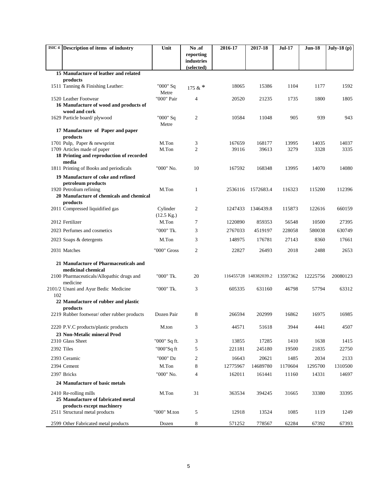|            | ISIC 4 Description of items of industry                                          | Unit                             | No.of                   | 2016-17         | 2017-18               | <b>Jul-17</b> | Jun-18        | July-18 $(p)$ |
|------------|----------------------------------------------------------------------------------|----------------------------------|-------------------------|-----------------|-----------------------|---------------|---------------|---------------|
|            |                                                                                  |                                  | reporting<br>industries |                 |                       |               |               |               |
|            |                                                                                  |                                  | (selected)              |                 |                       |               |               |               |
|            | 15 Manufacture of leather and related                                            |                                  |                         |                 |                       |               |               |               |
|            | products<br>1511 Tanning & Finishing Leather:                                    | "000" Sq                         |                         | 18065           | 15386                 | 1104          | 1177          | 1592          |
|            |                                                                                  | Metre                            | 175 & $*$               |                 |                       |               |               |               |
|            | 1520 Leather Footwear                                                            | "000" Pair                       | $\overline{4}$          | 20520           | 21235                 | 1735          | 1800          | 1805          |
|            | 16 Manufacture of wood and products of<br>wood and cork                          |                                  |                         |                 |                       |               |               |               |
|            | 1629 Particle board/plywood                                                      | "000" Sq                         | 2                       | 10584           | 11048                 | 905           | 939           | 943           |
|            |                                                                                  | Metre                            |                         |                 |                       |               |               |               |
|            | 17 Manufacture of Paper and paper<br>products                                    |                                  |                         |                 |                       |               |               |               |
|            | 1701 Pulp, Paper & newsprint                                                     | M.Ton<br>M.Ton                   | 3<br>2                  | 167659<br>39116 | 168177<br>39613       | 13995<br>3279 | 14035<br>3328 | 14037<br>3335 |
|            | 1709 Articles made of paper<br>18 Printing and reproduction of recorded<br>media |                                  |                         |                 |                       |               |               |               |
|            | 1811 Printing of Books and periodicals                                           | "000" No.                        | 10                      | 167592          | 168348                | 13995         | 14070         | 14080         |
|            | 19 Manufacture of coke and refined                                               |                                  |                         |                 |                       |               |               |               |
|            | petroleum products                                                               |                                  |                         |                 |                       |               |               |               |
|            | 1920 Petrolium refining<br>20 Manufacture of chemicals and chemical              | M.Ton                            | 1                       | 2536116         | 1572683.4             | 116323        | 115200        | 112396        |
|            | products                                                                         |                                  |                         |                 |                       |               |               |               |
|            | 2011 Compressed liquidified gas                                                  | Cylinder<br>$(12.5 \text{ Kg.})$ | 2                       | 1247433         | 1346439.8             | 115873        | 122616        | 660159        |
|            | 2012 Fertilizer                                                                  | M.Ton                            | 7                       | 1220890         | 859353                | 56548         | 10500         | 27395         |
|            | 2023 Perfumes and cosmetics                                                      | "000" Tk.                        | 3                       | 2767033         | 4519197               | 228058        | 580038        | 630749        |
|            | 2023 Soaps & detergents                                                          | M.Ton                            | 3                       | 148975          | 176781                | 27143         | 8360          | 17661         |
|            | 2031 Matches                                                                     | "000" Gross                      | 2                       | 22827           | 26493                 | 2018          | 2488          | 2653          |
|            | 21 Manufacture of Pharmaceuticals and                                            |                                  |                         |                 |                       |               |               |               |
|            | medicinal chemical<br>2100 Pharmaceuticals/Allopathic drugs and                  | "000" Tk.                        | 20                      |                 | 116455728 148382039.2 | 13597362      | 12225756      | 20080123      |
| 102        | medicine<br>2101/2 Unani and Ayur Bedic Medicine                                 | "000" Tk.                        | 3                       | 605335          | 631160                | 46798         | 57794         | 63312         |
|            | 22 Manufacture of rubber and plastic                                             |                                  |                         |                 |                       |               |               |               |
|            | products                                                                         |                                  |                         |                 |                       |               |               |               |
|            | 2219 Rubber footwear/ other rubber products                                      | Dozen Pair                       | 8                       | 266594          | 202999                | 16862         | 16975         | 16985         |
|            | 2220 P.V.C products/plastic products                                             | M.ton                            | 3                       | 44571           | 51618                 | 3944          | 4441          | 4507          |
|            | 23 Non-Metalic mineral Prod                                                      |                                  |                         |                 |                       |               |               |               |
|            | 2310 Glass Sheet                                                                 | "000" Sq ft.                     | 3                       | 13855           | 17285                 | 1410          | 1638          | 1415          |
| 2392 Tiles |                                                                                  | "000"Sq ft                       | 5                       | 221181          | 245180                | 19500         | 21835         | 22750         |
|            | 2393 Ceramic                                                                     | "000" Dz                         | 2                       | 16643           | 20621                 | 1485          | 2034          | 2133          |
|            | 2394 Cement                                                                      | M.Ton                            | 8                       | 12775967        | 14689780              | 1170604       | 1295700       | 1310500       |
|            | 2397 Bricks                                                                      | "000" No.                        | 4                       | 162011          | 161441                | 11160         | 14331         | 14697         |
|            | 24 Manufacture of basic metals                                                   |                                  |                         |                 |                       |               |               |               |
|            | 2410 Re-rolling mills                                                            | M.Ton                            | 31                      | 363534          | 394245                | 31665         | 33380         | 33395         |
|            | 25 Manufacture of fabricated metal<br>products except machinery                  |                                  |                         |                 |                       |               |               |               |
|            | 2511 Structural metal products                                                   | "000" M.ton                      | 5                       | 12918           | 13524                 | 1085          | 1119          | 1249          |
|            | 2599 Other Fabricated metal products                                             | Dozen                            | 8                       | 571252          | 778567                | 62284         | 67392         | 67393         |